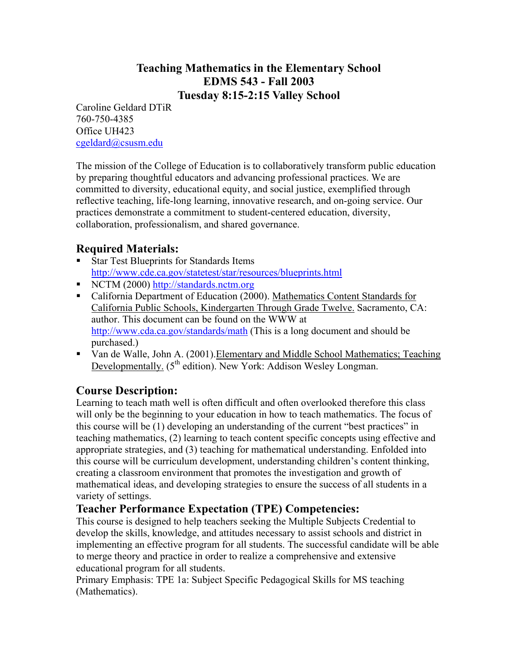# **Teaching Mathematics in the Elementary School EDMS 543 - Fall 2003 Tuesday 8:15-2:15 Valley School**

Caroline Geldard DTiR 760-750-4385 Office UH423 cgeldard@csusm.edu

The mission of the College of Education is to collaboratively transform public education by preparing thoughtful educators and advancing professional practices. We are committed to diversity, educational equity, and social justice, exemplified through reflective teaching, life-long learning, innovative research, and on-going service. Our practices demonstrate a commitment to student-centered education, diversity, collaboration, professionalism, and shared governance.

# **Required Materials:**

- Star Test Blueprints for Standards Items http://www.cde.ca.gov/statetest/star/resources/blueprints.html
- NCTM (2000) http://standards.nctm.org
- California Department of Education (2000). Mathematics Content Standards for California Public Schools, Kindergarten Through Grade Twelve. Sacramento, CA: author. This document can be found on the WWW at http://www.cda.ca.gov/standards/math (This is a long document and should be purchased.)
- Van de Walle, John A. (2001).Elementary and Middle School Mathematics; Teaching Developmentally. (5<sup>th</sup> edition). New York: Addison Wesley Longman.

## **Course Description:**

Learning to teach math well is often difficult and often overlooked therefore this class will only be the beginning to your education in how to teach mathematics. The focus of this course will be (1) developing an understanding of the current "best practices" in teaching mathematics, (2) learning to teach content specific concepts using effective and appropriate strategies, and (3) teaching for mathematical understanding. Enfolded into this course will be curriculum development, understanding children's content thinking, creating a classroom environment that promotes the investigation and growth of mathematical ideas, and developing strategies to ensure the success of all students in a variety of settings.

## **Teacher Performance Expectation (TPE) Competencies:**

This course is designed to help teachers seeking the Multiple Subjects Credential to develop the skills, knowledge, and attitudes necessary to assist schools and district in implementing an effective program for all students. The successful candidate will be able to merge theory and practice in order to realize a comprehensive and extensive educational program for all students.

Primary Emphasis: TPE 1a: Subject Specific Pedagogical Skills for MS teaching (Mathematics).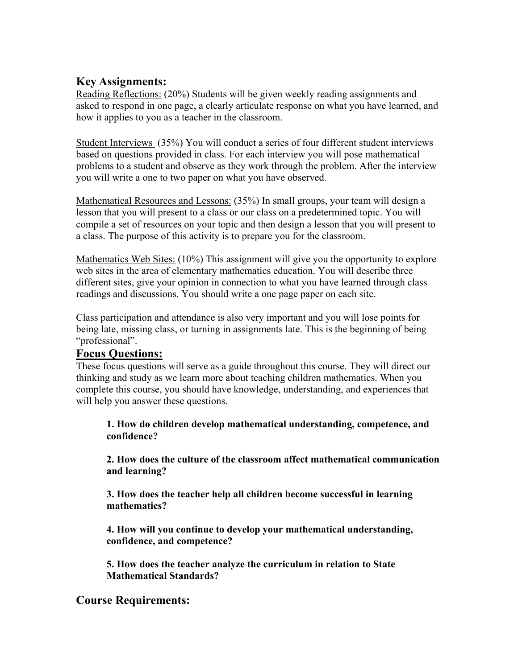# **Key Assignments:**

Reading Reflections: (20%) Students will be given weekly reading assignments and asked to respond in one page, a clearly articulate response on what you have learned, and how it applies to you as a teacher in the classroom.

Student Interviews (35%) You will conduct a series of four different student interviews based on questions provided in class. For each interview you will pose mathematical problems to a student and observe as they work through the problem. After the interview you will write a one to two paper on what you have observed.

Mathematical Resources and Lessons: (35%) In small groups, your team will design a lesson that you will present to a class or our class on a predetermined topic. You will compile a set of resources on your topic and then design a lesson that you will present to a class. The purpose of this activity is to prepare you for the classroom.

Mathematics Web Sites: (10%) This assignment will give you the opportunity to explore web sites in the area of elementary mathematics education. You will describe three different sites, give your opinion in connection to what you have learned through class readings and discussions. You should write a one page paper on each site.

Class participation and attendance is also very important and you will lose points for being late, missing class, or turning in assignments late. This is the beginning of being "professional".

## **Focus Questions:**

These focus questions will serve as a guide throughout this course. They will direct our thinking and study as we learn more about teaching children mathematics. When you complete this course, you should have knowledge, understanding, and experiences that will help you answer these questions.

**1. How do children develop mathematical understanding, competence, and confidence?** 

 **2. How does the culture of the classroom affect mathematical communication and learning?** 

 **3. How does the teacher help all children become successful in learning mathematics?** 

 **4. How will you continue to develop your mathematical understanding, confidence, and competence?** 

 **5. How does the teacher analyze the curriculum in relation to State Mathematical Standards?** 

## **Course Requirements:**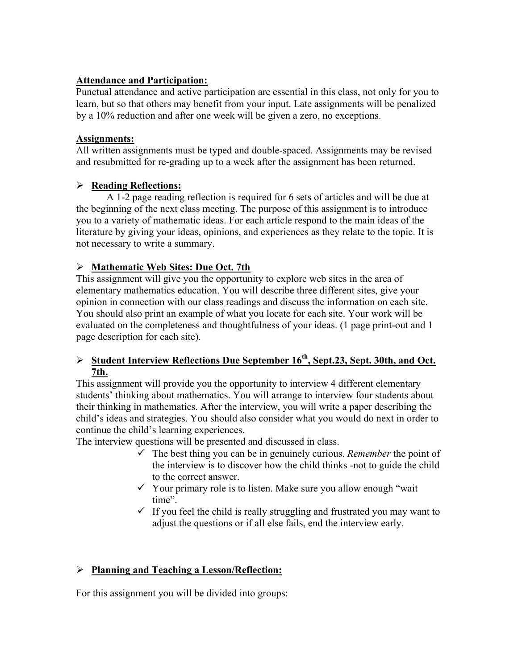#### **Attendance and Participation:**

Punctual attendance and active participation are essential in this class, not only for you to learn, but so that others may benefit from your input. Late assignments will be penalized by a 10% reduction and after one week will be given a zero, no exceptions.

#### **Assignments:**

All written assignments must be typed and double-spaced. Assignments may be revised and resubmitted for re-grading up to a week after the assignment has been returned.

## ¾ **Reading Reflections:**

A 1-2 page reading reflection is required for 6 sets of articles and will be due at the beginning of the next class meeting. The purpose of this assignment is to introduce you to a variety of mathematic ideas. For each article respond to the main ideas of the literature by giving your ideas, opinions, and experiences as they relate to the topic. It is not necessary to write a summary.

## ¾ **Mathematic Web Sites: Due Oct. 7th**

This assignment will give you the opportunity to explore web sites in the area of elementary mathematics education. You will describe three different sites, give your opinion in connection with our class readings and discuss the information on each site. You should also print an example of what you locate for each site. Your work will be evaluated on the completeness and thoughtfulness of your ideas. (1 page print-out and 1 page description for each site).

## ¾ **Student Interview Reflections Due September 16th, Sept.23, Sept. 30th, and Oct. 7th.**

This assignment will provide you the opportunity to interview 4 different elementary students' thinking about mathematics. You will arrange to interview four students about their thinking in mathematics. After the interview, you will write a paper describing the child's ideas and strategies. You should also consider what you would do next in order to continue the child's learning experiences.

The interview questions will be presented and discussed in class.

- $\checkmark$  The best thing you can be in genuinely curious. *Remember* the point of the interview is to discover how the child thinks -not to guide the child to the correct answer.
- $\checkmark$  Your primary role is to listen. Make sure you allow enough "wait time".
- $\checkmark$  If you feel the child is really struggling and frustrated you may want to adjust the questions or if all else fails, end the interview early.

## ¾ **Planning and Teaching a Lesson/Reflection:**

For this assignment you will be divided into groups: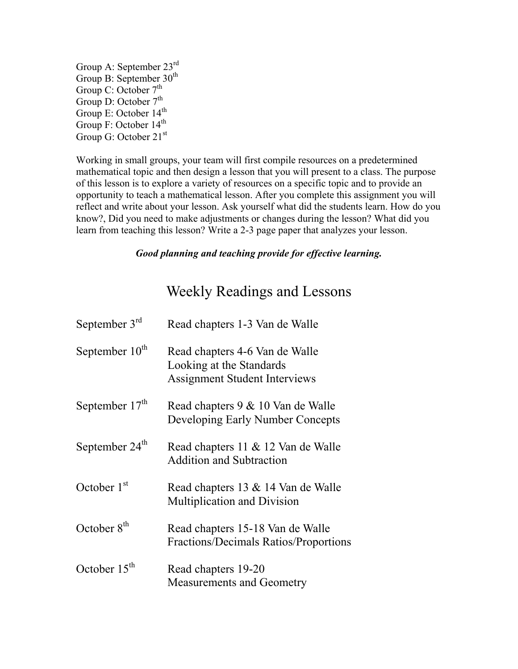Group A: September 23rd Group B: September 30<sup>th</sup> Group C: October 7<sup>th</sup> Group D: October  $7<sup>th</sup>$ Group E: October 14<sup>th</sup> Group F: October 14<sup>th</sup> Group G: October 21<sup>st</sup>

Working in small groups, your team will first compile resources on a predetermined mathematical topic and then design a lesson that you will present to a class. The purpose of this lesson is to explore a variety of resources on a specific topic and to provide an opportunity to teach a mathematical lesson. After you complete this assignment you will reflect and write about your lesson. Ask yourself what did the students learn. How do you know?, Did you need to make adjustments or changes during the lesson? What did you learn from teaching this lesson? Write a 2-3 page paper that analyzes your lesson.

#### *Good planning and teaching provide for effective learning.*

# Weekly Readings and Lessons

| September $3rd$            | Read chapters 1-3 Van de Walle                                                                     |
|----------------------------|----------------------------------------------------------------------------------------------------|
| September 10 <sup>th</sup> | Read chapters 4-6 Van de Walle<br>Looking at the Standards<br><b>Assignment Student Interviews</b> |
| September $17th$           | Read chapters 9 & 10 Van de Walle<br>Developing Early Number Concepts                              |
| September $24th$           | Read chapters 11 & 12 Van de Walle<br><b>Addition and Subtraction</b>                              |
| October $1st$              | Read chapters 13 & 14 Van de Walle<br>Multiplication and Division                                  |
| October $8th$              | Read chapters 15-18 Van de Walle<br>Fractions/Decimals Ratios/Proportions                          |
| October $15th$             | Read chapters 19-20<br><b>Measurements and Geometry</b>                                            |